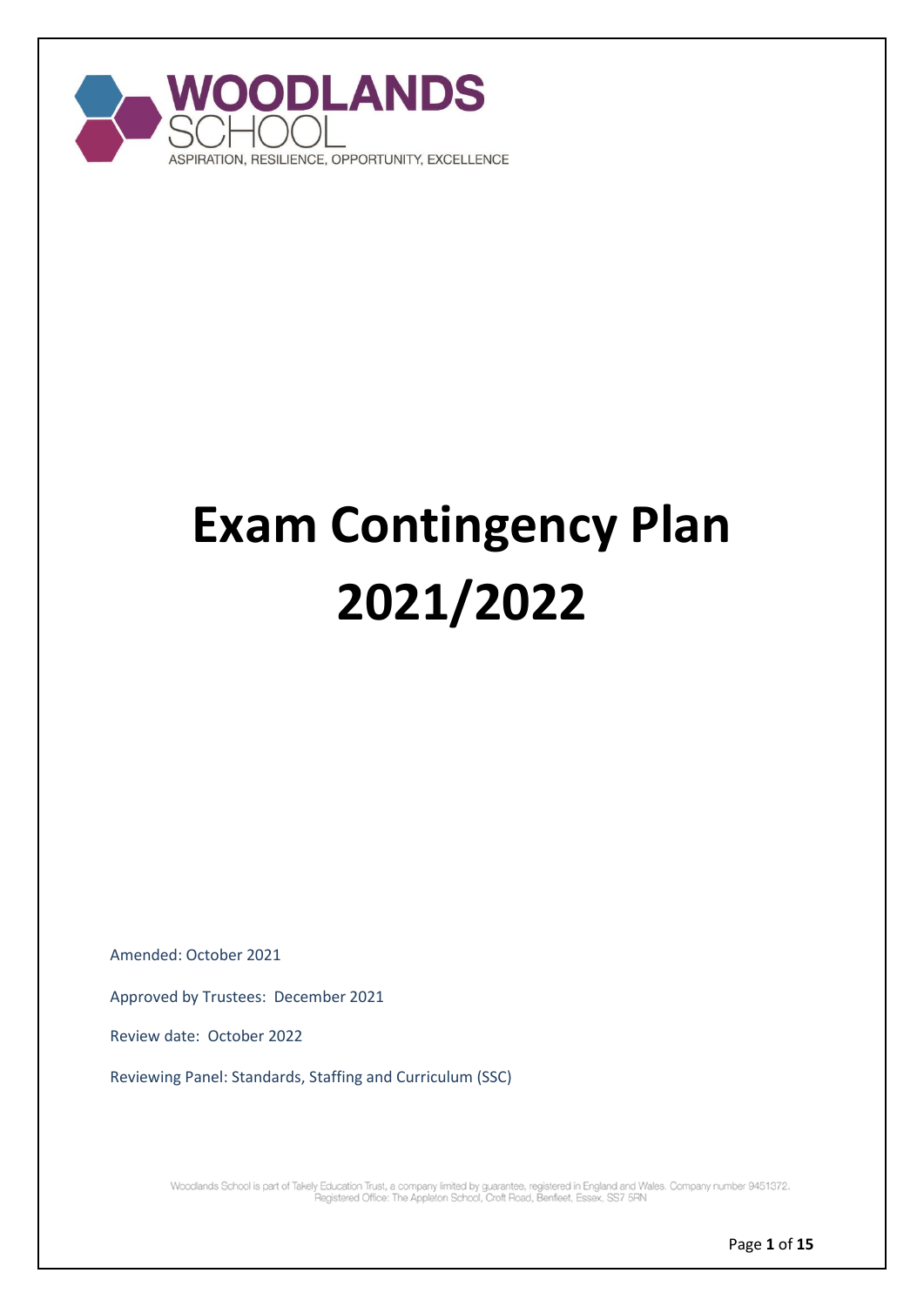

# **Exam Contingency Plan 2021/2022**

Amended: October 2021

Approved by Trustees: December 2021

Review date: October 2022

Reviewing Panel: Standards, Staffing and Curriculum (SSC)

Woodlands School is part of Takely Education Trust, a company limited by guarantee, registered in England and Wales. Company number 9451372.<br>Pegistered Office: The Appleton School, Croft Road, Benfleet, Essex, SS7 5RN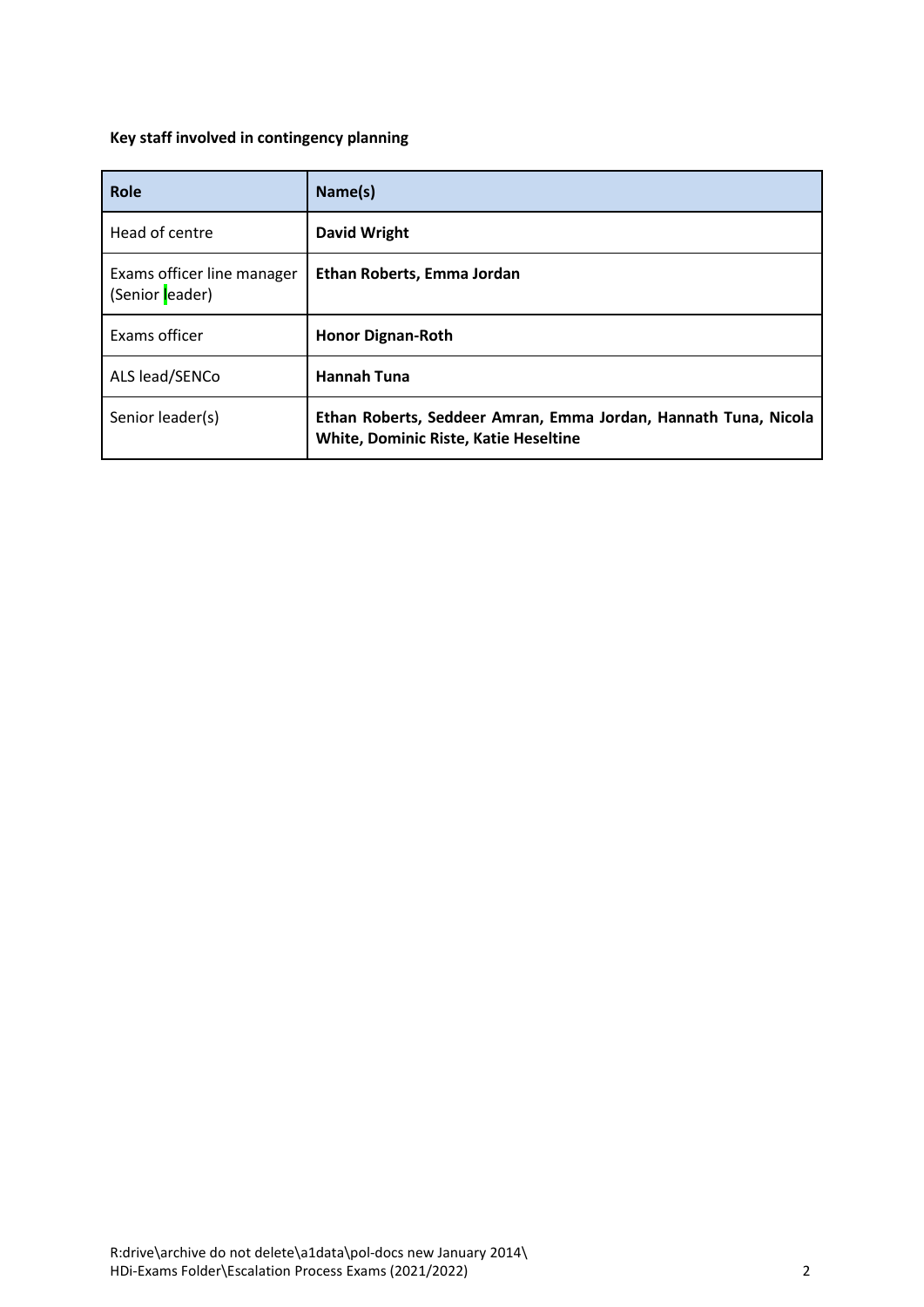## <span id="page-1-0"></span>**Key staff involved in contingency planning**

| Role                                          | Name(s)                                                                                                         |
|-----------------------------------------------|-----------------------------------------------------------------------------------------------------------------|
| Head of centre                                | <b>David Wright</b>                                                                                             |
| Exams officer line manager<br>(Senior leader) | Ethan Roberts, Emma Jordan                                                                                      |
| Exams officer                                 | <b>Honor Dignan-Roth</b>                                                                                        |
| ALS lead/SENCo                                | <b>Hannah Tuna</b>                                                                                              |
| Senior leader(s)                              | Ethan Roberts, Seddeer Amran, Emma Jordan, Hannath Tuna, Nicola<br><b>White, Dominic Riste, Katie Heseltine</b> |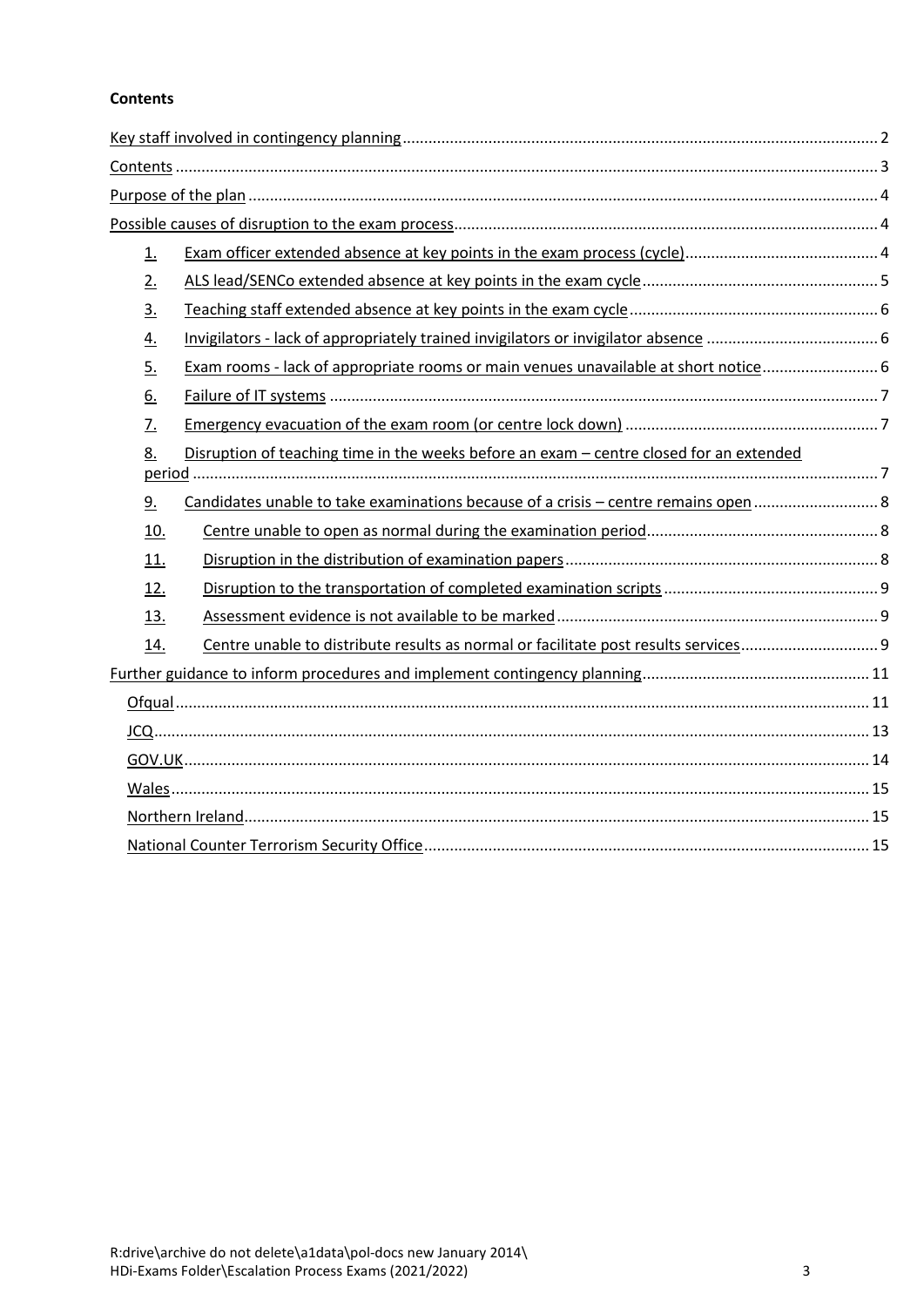## <span id="page-2-0"></span>**Contents**

| $\underline{1}$ . |                                                                                         |  |
|-------------------|-----------------------------------------------------------------------------------------|--|
| 2.                |                                                                                         |  |
| 3.                |                                                                                         |  |
| $\overline{4}$ .  |                                                                                         |  |
| 5.                | Exam rooms - lack of appropriate rooms or main venues unavailable at short notice 6     |  |
| 6.                |                                                                                         |  |
| 7.                |                                                                                         |  |
| 8.                | Disruption of teaching time in the weeks before an exam - centre closed for an extended |  |
| 9.                | Candidates unable to take examinations because of a crisis - centre remains open  8     |  |
| <u>10.</u>        |                                                                                         |  |
| 11.               |                                                                                         |  |
| <u>12.</u>        |                                                                                         |  |
| 13.               |                                                                                         |  |
| <u>14.</u>        |                                                                                         |  |
|                   |                                                                                         |  |
|                   |                                                                                         |  |
|                   |                                                                                         |  |
|                   |                                                                                         |  |
|                   |                                                                                         |  |
|                   |                                                                                         |  |
|                   |                                                                                         |  |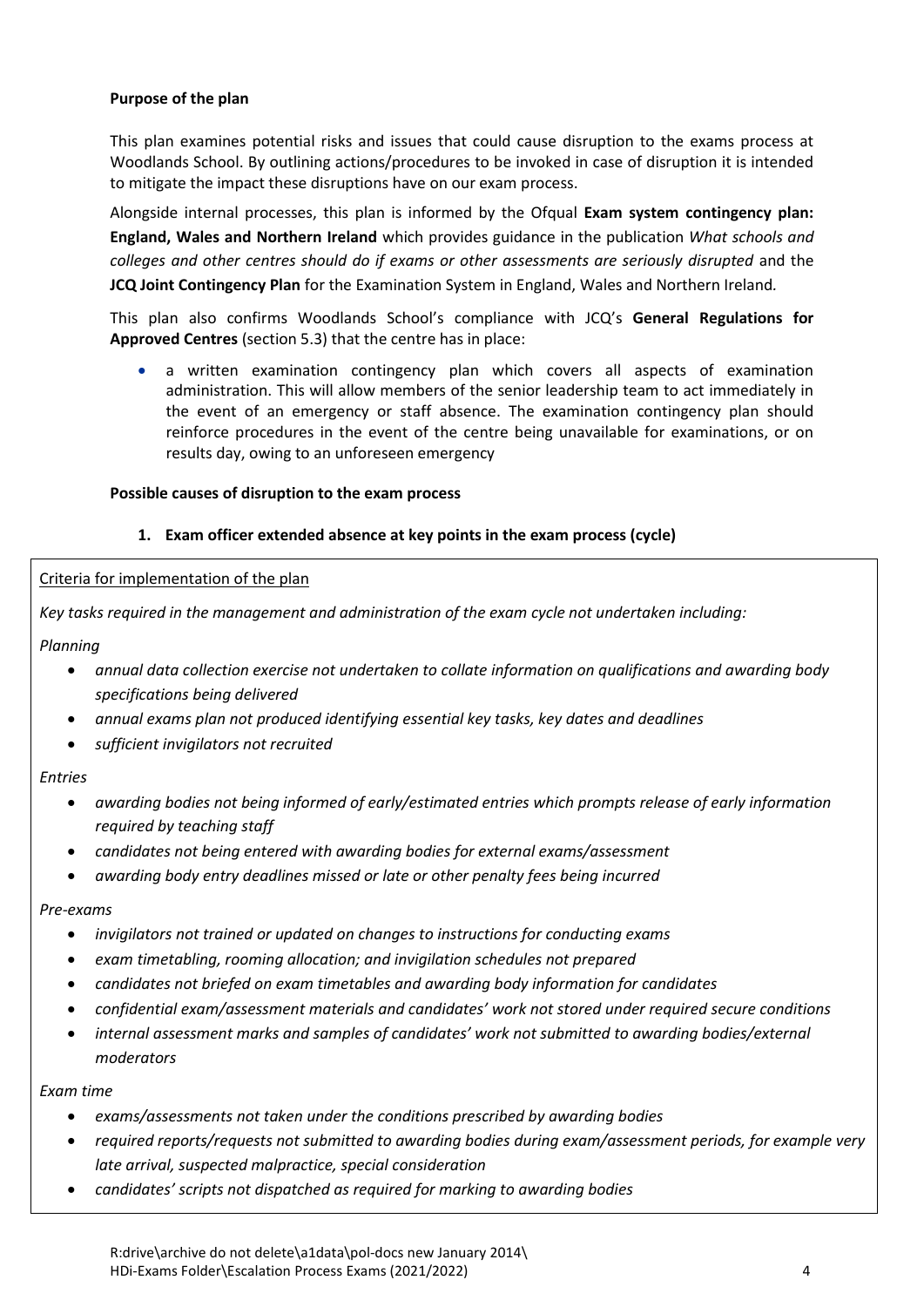#### <span id="page-3-0"></span>**Purpose of the plan**

This plan examines potential risks and issues that could cause disruption to the exams process at Woodlands School. By outlining actions/procedures to be invoked in case of disruption it is intended to mitigate the impact these disruptions have on our exam process.

Alongside internal processes, this plan is informed by the Ofqual **Exam system contingency plan: England, Wales and Northern Ireland** which provides guidance in the publication *What schools and*  colleges and other centres should do if exams or other assessments are seriously disrupted and the **JCQ Joint Contingency Plan** for the Examination System in England, Wales and Northern Ireland*.*

This plan also confirms Woodlands School's compliance with JCQ's **General Regulations for Approved Centres** (section 5.3) that the centre has in place:

 a written examination contingency plan which covers all aspects of examination administration. This will allow members of the senior leadership team to act immediately in the event of an emergency or staff absence. The examination contingency plan should reinforce procedures in the event of the centre being unavailable for examinations, or on results day, owing to an unforeseen emergency

#### <span id="page-3-1"></span>**Possible causes of disruption to the exam process**

#### <span id="page-3-2"></span>**1. Exam officer extended absence at key points in the exam process (cycle)**

#### Criteria for implementation of the plan

*Key tasks required in the management and administration of the exam cycle not undertaken including:*

*Planning*

- *annual data collection exercise not undertaken to collate information on qualifications and awarding body specifications being delivered*
- *annual exams plan not produced identifying essential key tasks, key dates and deadlines*
- *sufficient invigilators not recruited*

#### *Entries*

- *awarding bodies not being informed of early/estimated entries which prompts release of early information required by teaching staff*
- *candidates not being entered with awarding bodies for external exams/assessment*
- *awarding body entry deadlines missed or late or other penalty fees being incurred*

#### *Pre-exams*

- *invigilators not trained or updated on changes to instructions for conducting exams*
- *exam timetabling, rooming allocation; and invigilation schedules not prepared*
- *candidates not briefed on exam timetables and awarding body information for candidates*
- *confidential exam/assessment materials and candidates' work not stored under required secure conditions*
- *internal assessment marks and samples of candidates' work not submitted to awarding bodies/external moderators*

#### *Exam time*

- *exams/assessments not taken under the conditions prescribed by awarding bodies*
- *required reports/requests not submitted to awarding bodies during exam/assessment periods, for example very late arrival, suspected malpractice, special consideration*
- *candidates' scripts not dispatched as required for marking to awarding bodies*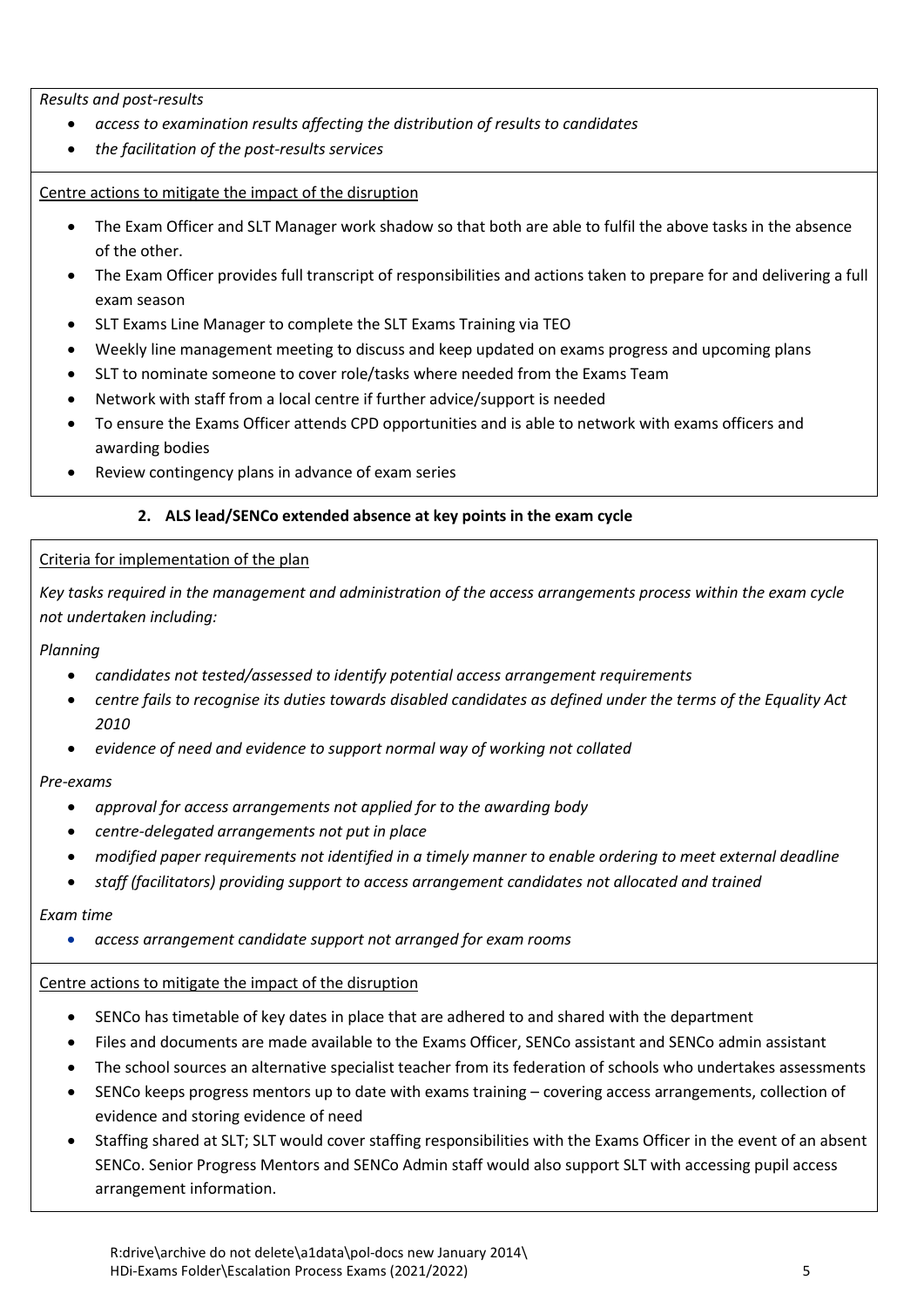*Results and post-results*

- *access to examination results affecting the distribution of results to candidates*
- *the facilitation of the post-results services*

#### Centre actions to mitigate the impact of the disruption

- The Exam Officer and SLT Manager work shadow so that both are able to fulfil the above tasks in the absence of the other.
- The Exam Officer provides full transcript of responsibilities and actions taken to prepare for and delivering a full exam season
- SLT Exams Line Manager to complete the SLT Exams Training via TEO
- Weekly line management meeting to discuss and keep updated on exams progress and upcoming plans
- SLT to nominate someone to cover role/tasks where needed from the Exams Team
- Network with staff from a local centre if further advice/support is needed
- To ensure the Exams Officer attends CPD opportunities and is able to network with exams officers and awarding bodies
- Review contingency plans in advance of exam series

## <span id="page-4-0"></span>**2. ALS lead/SENCo extended absence at key points in the exam cycle**

#### Criteria for implementation of the plan

*Key tasks required in the management and administration of the access arrangements process within the exam cycle not undertaken including:*

#### *Planning*

- *candidates not tested/assessed to identify potential access arrangement requirements*
- *centre fails to recognise its duties towards disabled candidates as defined under the terms of the Equality Act 2010*
- *evidence of need and evidence to support normal way of working not collated*

#### *Pre-exams*

- *approval for access arrangements not applied for to the awarding body*
- *centre-delegated arrangements not put in place*
- *modified paper requirements not identified in a timely manner to enable ordering to meet external deadline*
- *staff (facilitators) providing support to access arrangement candidates not allocated and trained*

#### *Exam time*

*access arrangement candidate support not arranged for exam rooms*

#### Centre actions to mitigate the impact of the disruption

- SENCo has timetable of key dates in place that are adhered to and shared with the department
- Files and documents are made available to the Exams Officer, SENCo assistant and SENCo admin assistant
- The school sources an alternative specialist teacher from its federation of schools who undertakes assessments
- SENCo keeps progress mentors up to date with exams training covering access arrangements, collection of evidence and storing evidence of need
- Staffing shared at SLT; SLT would cover staffing responsibilities with the Exams Officer in the event of an absent SENCo. Senior Progress Mentors and SENCo Admin staff would also support SLT with accessing pupil access arrangement information.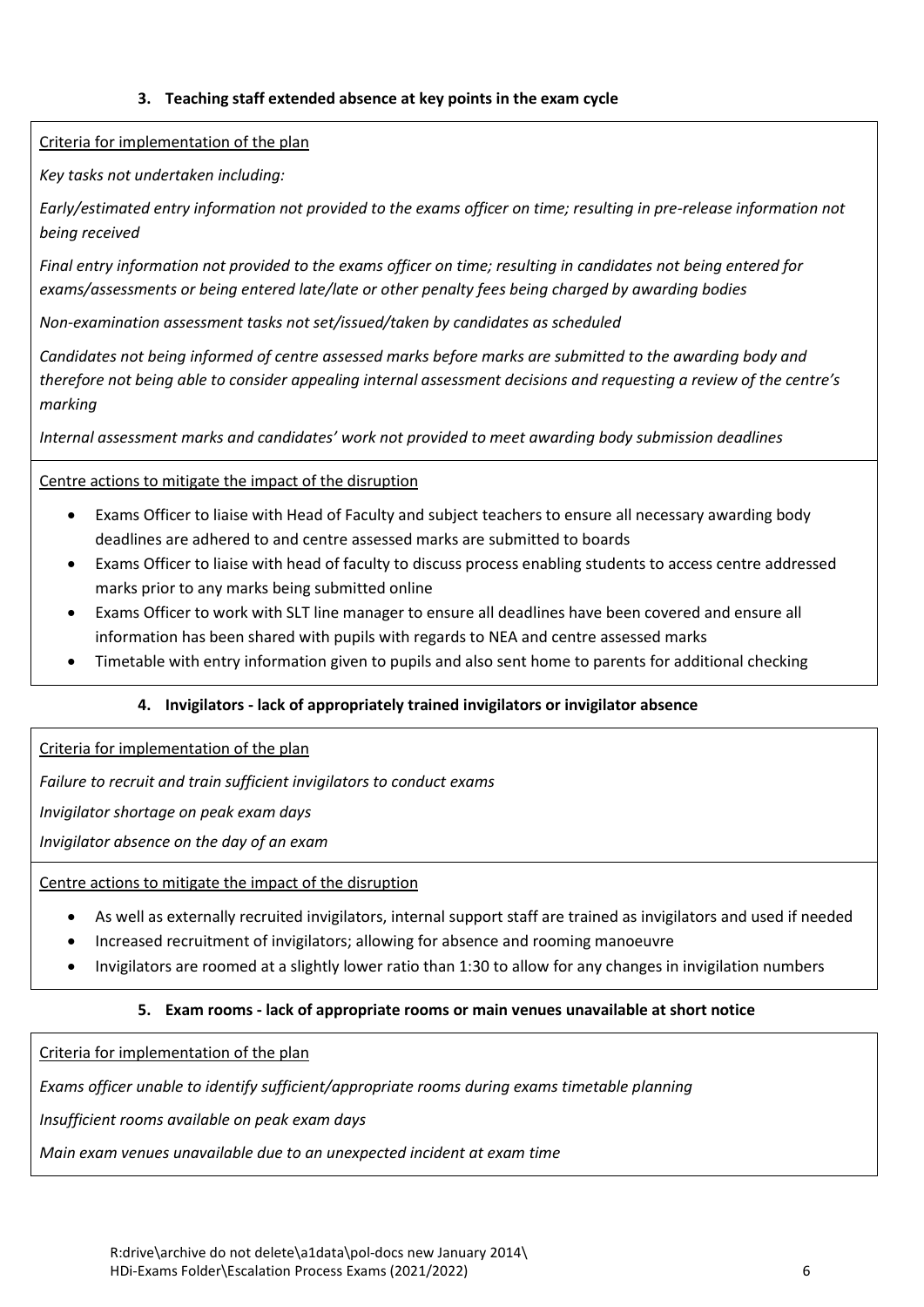#### <span id="page-5-0"></span>**3. Teaching staff extended absence at key points in the exam cycle**

Criteria for implementation of the plan

*Key tasks not undertaken including:*

*Early/estimated entry information not provided to the exams officer on time; resulting in pre-release information not being received*

*Final entry information not provided to the exams officer on time; resulting in candidates not being entered for exams/assessments or being entered late/late or other penalty fees being charged by awarding bodies*

*Non-examination assessment tasks not set/issued/taken by candidates as scheduled*

*Candidates not being informed of centre assessed marks before marks are submitted to the awarding body and therefore not being able to consider appealing internal assessment decisions and requesting a review of the centre's marking*

*Internal assessment marks and candidates' work not provided to meet awarding body submission deadlines*

## Centre actions to mitigate the impact of the disruption

- Exams Officer to liaise with Head of Faculty and subject teachers to ensure all necessary awarding body deadlines are adhered to and centre assessed marks are submitted to boards
- Exams Officer to liaise with head of faculty to discuss process enabling students to access centre addressed marks prior to any marks being submitted online
- Exams Officer to work with SLT line manager to ensure all deadlines have been covered and ensure all information has been shared with pupils with regards to NEA and centre assessed marks
- Timetable with entry information given to pupils and also sent home to parents for additional checking

#### <span id="page-5-1"></span>**4. Invigilators - lack of appropriately trained invigilators or invigilator absence**

Criteria for implementation of the plan

*Failure to recruit and train sufficient invigilators to conduct exams*

*Invigilator shortage on peak exam days*

*Invigilator absence on the day of an exam*

Centre actions to mitigate the impact of the disruption

- As well as externally recruited invigilators, internal support staff are trained as invigilators and used if needed
- Increased recruitment of invigilators; allowing for absence and rooming manoeuvre
- Invigilators are roomed at a slightly lower ratio than 1:30 to allow for any changes in invigilation numbers

#### <span id="page-5-2"></span>**5. Exam rooms - lack of appropriate rooms or main venues unavailable at short notice**

Criteria for implementation of the plan

*Exams officer unable to identify sufficient/appropriate rooms during exams timetable planning*

*Insufficient rooms available on peak exam days*

*Main exam venues unavailable due to an unexpected incident at exam time*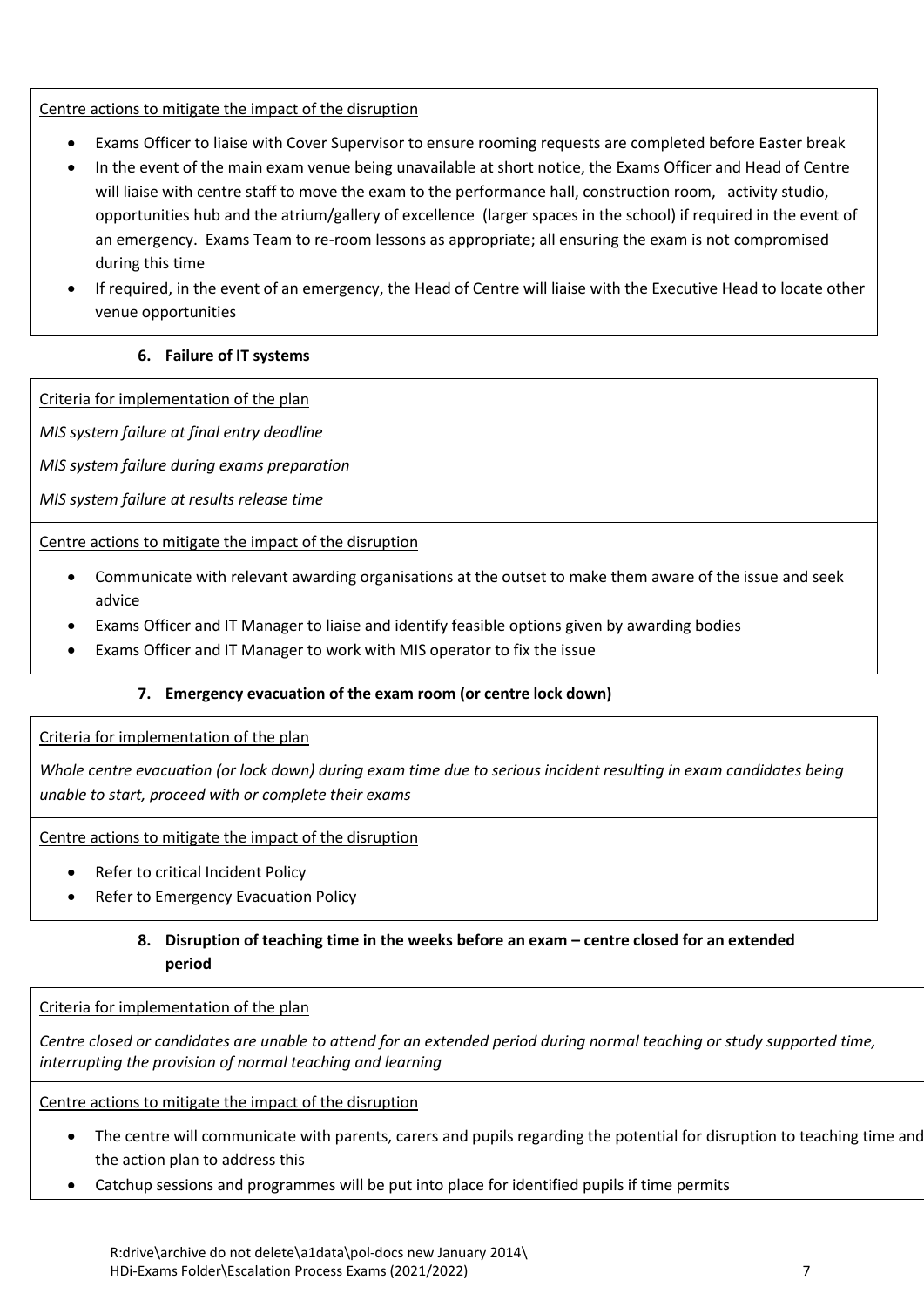#### Centre actions to mitigate the impact of the disruption

- Exams Officer to liaise with Cover Supervisor to ensure rooming requests are completed before Easter break
- In the event of the main exam venue being unavailable at short notice, the Exams Officer and Head of Centre will liaise with centre staff to move the exam to the performance hall, construction room, activity studio, opportunities hub and the atrium/gallery of excellence (larger spaces in the school) if required in the event of an emergency. Exams Team to re-room lessons as appropriate; all ensuring the exam is not compromised during this time
- If required, in the event of an emergency, the Head of Centre will liaise with the Executive Head to locate other venue opportunities

#### <span id="page-6-0"></span>**6. Failure of IT systems**

Criteria for implementation of the plan

*MIS system failure at final entry deadline*

*MIS system failure during exams preparation*

*MIS system failure at results release time*

Centre actions to mitigate the impact of the disruption

- Communicate with relevant awarding organisations at the outset to make them aware of the issue and seek advice
- Exams Officer and IT Manager to liaise and identify feasible options given by awarding bodies
- Exams Officer and IT Manager to work with MIS operator to fix the issue

#### <span id="page-6-1"></span>**7. Emergency evacuation of the exam room (or centre lock down)**

#### Criteria for implementation of the plan

*Whole centre evacuation (or lock down) during exam time due to serious incident resulting in exam candidates being unable to start, proceed with or complete their exams*

Centre actions to mitigate the impact of the disruption

- Refer to critical Incident Policy
- Refer to Emergency Evacuation Policy

## <span id="page-6-2"></span>**8.** Disruption of teaching time in the weeks before an exam – centre closed for an extended **period**

Criteria for implementation of the plan

*Centre closed or candidates are unable to attend for an extended period during normal teaching or study supported time, interrupting the provision of normal teaching and learning*

#### Centre actions to mitigate the impact of the disruption

- The centre will communicate with parents, carers and pupils regarding the potential for disruption to teaching time and the action plan to address this
- Catchup sessions and programmes will be put into place for identified pupils if time permits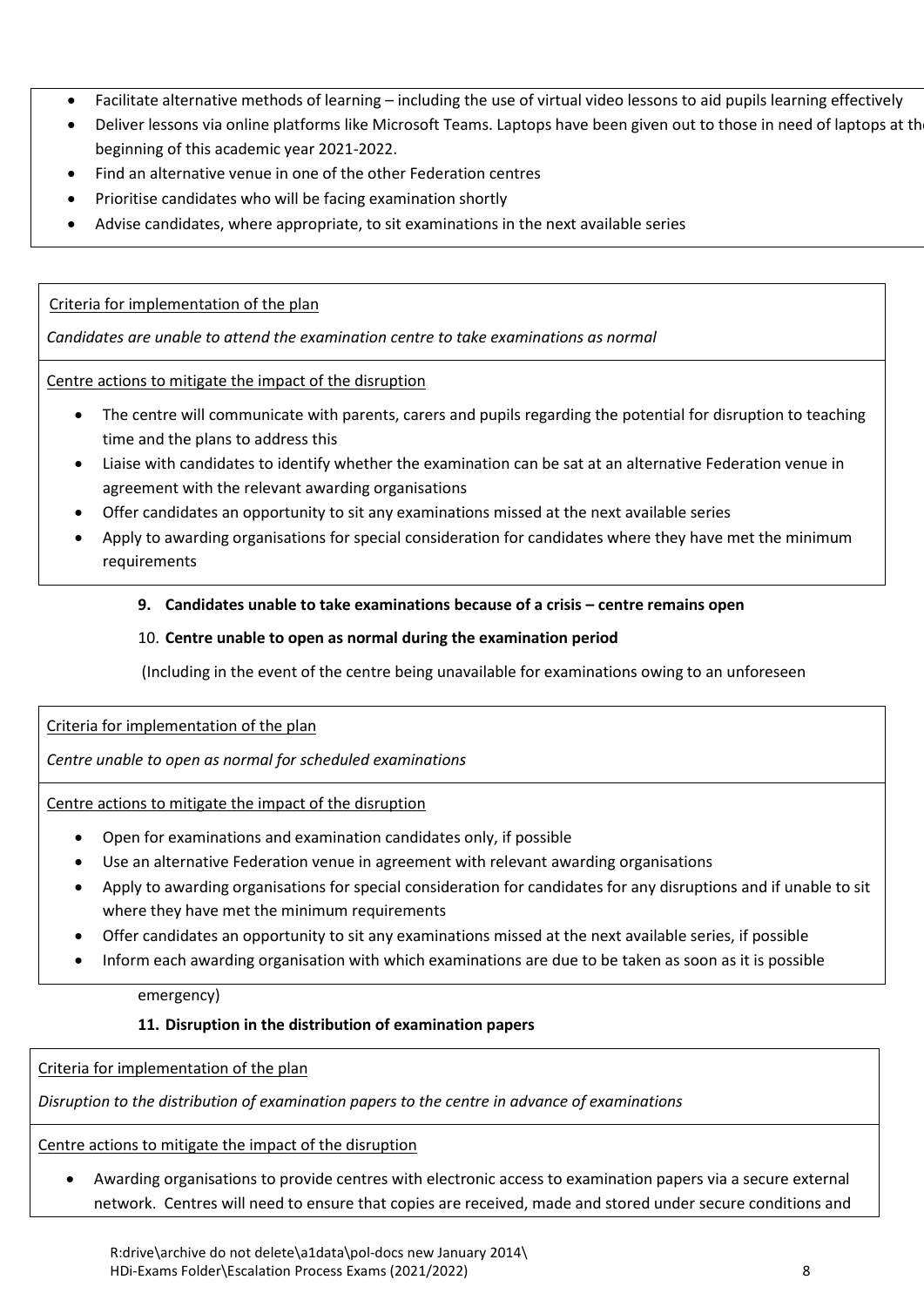- Facilitate alternative methods of learning including the use of virtual video lessons to aid pupils learning effectively
- Deliver lessons via online platforms like Microsoft Teams. Laptops have been given out to those in need of laptops at the beginning of this academic year 2021-2022.
- Find an alternative venue in one of the other Federation centres
- Prioritise candidates who will be facing examination shortly
- Advise candidates, where appropriate, to sit examinations in the next available series

<span id="page-7-0"></span>Criteria for implementation of the plan

*Candidates are unable to attend the examination centre to take examinations as normal*

Centre actions to mitigate the impact of the disruption

- The centre will communicate with parents, carers and pupils regarding the potential for disruption to teaching time and the plans to address this
- Liaise with candidates to identify whether the examination can be sat at an alternative Federation venue in agreement with the relevant awarding organisations
- Offer candidates an opportunity to sit any examinations missed at the next available series
- Apply to awarding organisations for special consideration for candidates where they have met the minimum requirements

#### **9.** Candidates unable to take examinations because of a crisis – centre remains open

#### <span id="page-7-1"></span>10. **Centre unable to open as normal during the examination period**

(Including in the event of the centre being unavailable for examinations owing to an unforeseen

#### Criteria for implementation of the plan

*Centre unable to open as normal for scheduled examinations* 

Centre actions to mitigate the impact of the disruption

- Open for examinations and examination candidates only, if possible
- Use an alternative Federation venue in agreement with relevant awarding organisations
- Apply to awarding organisations for special consideration for candidates for any disruptions and if unable to sit where they have met the minimum requirements
- Offer candidates an opportunity to sit any examinations missed at the next available series, if possible
- Inform each awarding organisation with which examinations are due to be taken as soon as it is possible

emergency)

#### <span id="page-7-2"></span>**11. Disruption in the distribution of examination papers**

Criteria for implementation of the plan

*Disruption to the distribution of examination papers to the centre in advance of examinations*

Centre actions to mitigate the impact of the disruption

 Awarding organisations to provide centres with electronic access to examination papers via a secure external network. Centres will need to ensure that copies are received, made and stored under secure conditions and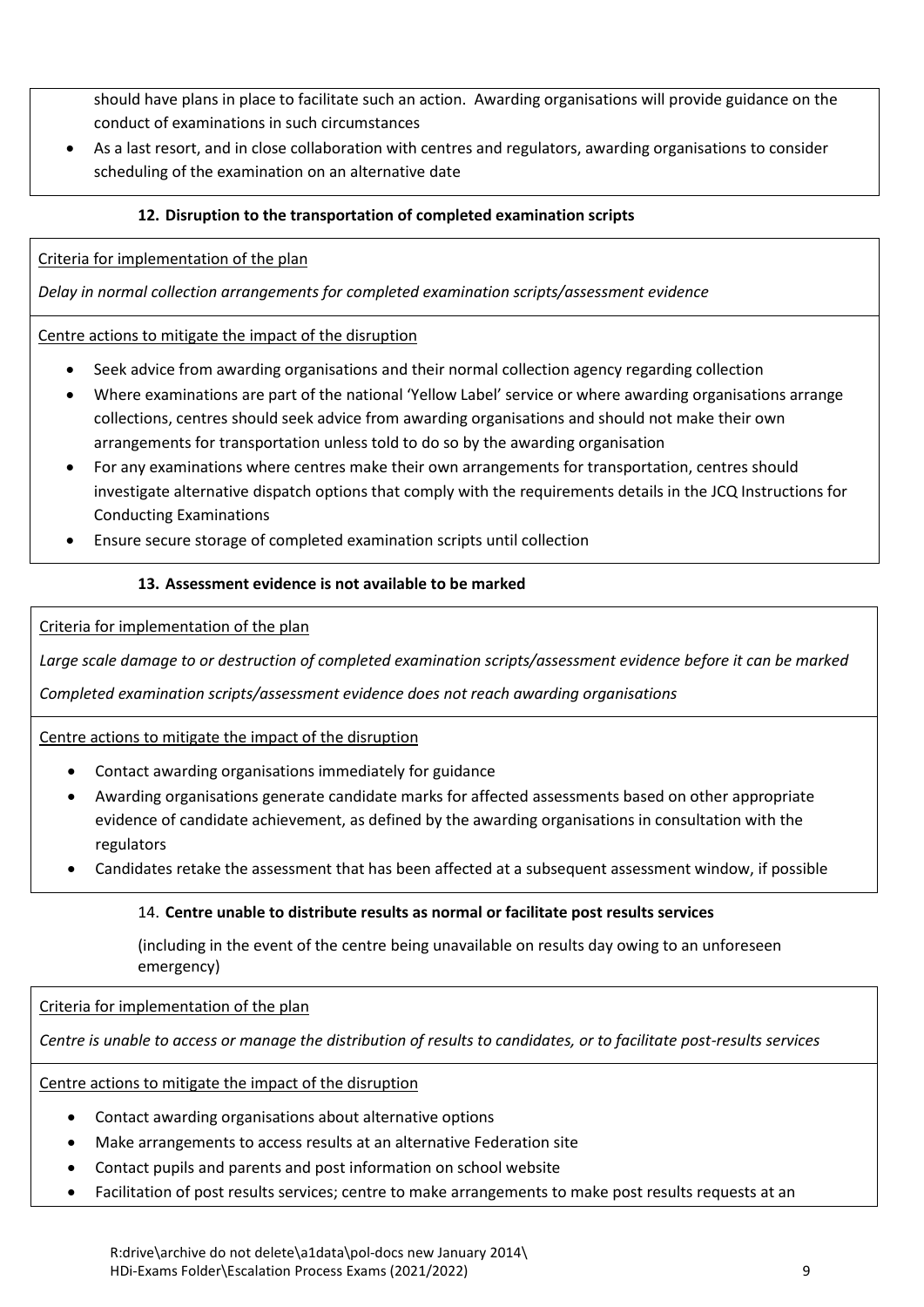should have plans in place to facilitate such an action. Awarding organisations will provide guidance on the conduct of examinations in such circumstances

 As a last resort, and in close collaboration with centres and regulators, awarding organisations to consider scheduling of the examination on an alternative date

## <span id="page-8-0"></span>**12. Disruption to the transportation of completed examination scripts**

#### Criteria for implementation of the plan

*Delay in normal collection arrangements for completed examination scripts/assessment evidence*

#### Centre actions to mitigate the impact of the disruption

- Seek advice from awarding organisations and their normal collection agency regarding collection
- Where examinations are part of the national 'Yellow Label' service or where awarding organisations arrange collections, centres should seek advice from awarding organisations and should not make their own arrangements for transportation unless told to do so by the awarding organisation
- For any examinations where centres make their own arrangements for transportation, centres should investigate alternative dispatch options that comply with the requirements details in the JCQ Instructions for Conducting Examinations
- Ensure secure storage of completed examination scripts until collection

#### <span id="page-8-1"></span>**13. Assessment evidence is not available to be marked**

Criteria for implementation of the plan

*Large scale damage to or destruction of completed examination scripts/assessment evidence before it can be marked*

*Completed examination scripts/assessment evidence does not reach awarding organisations* 

#### Centre actions to mitigate the impact of the disruption

- Contact awarding organisations immediately for guidance
- Awarding organisations generate candidate marks for affected assessments based on other appropriate evidence of candidate achievement, as defined by the awarding organisations in consultation with the regulators
- Candidates retake the assessment that has been affected at a subsequent assessment window, if possible

#### <span id="page-8-2"></span>14. **Centre unable to distribute results as normal or facilitate post results services**

(including in the event of the centre being unavailable on results day owing to an unforeseen emergency)

Criteria for implementation of the plan

*Centre is unable to access or manage the distribution of results to candidates, or to facilitate post-results services*

Centre actions to mitigate the impact of the disruption

- Contact awarding organisations about alternative options
- Make arrangements to access results at an alternative Federation site
- Contact pupils and parents and post information on school website
- Facilitation of post results services; centre to make arrangements to make post results requests at an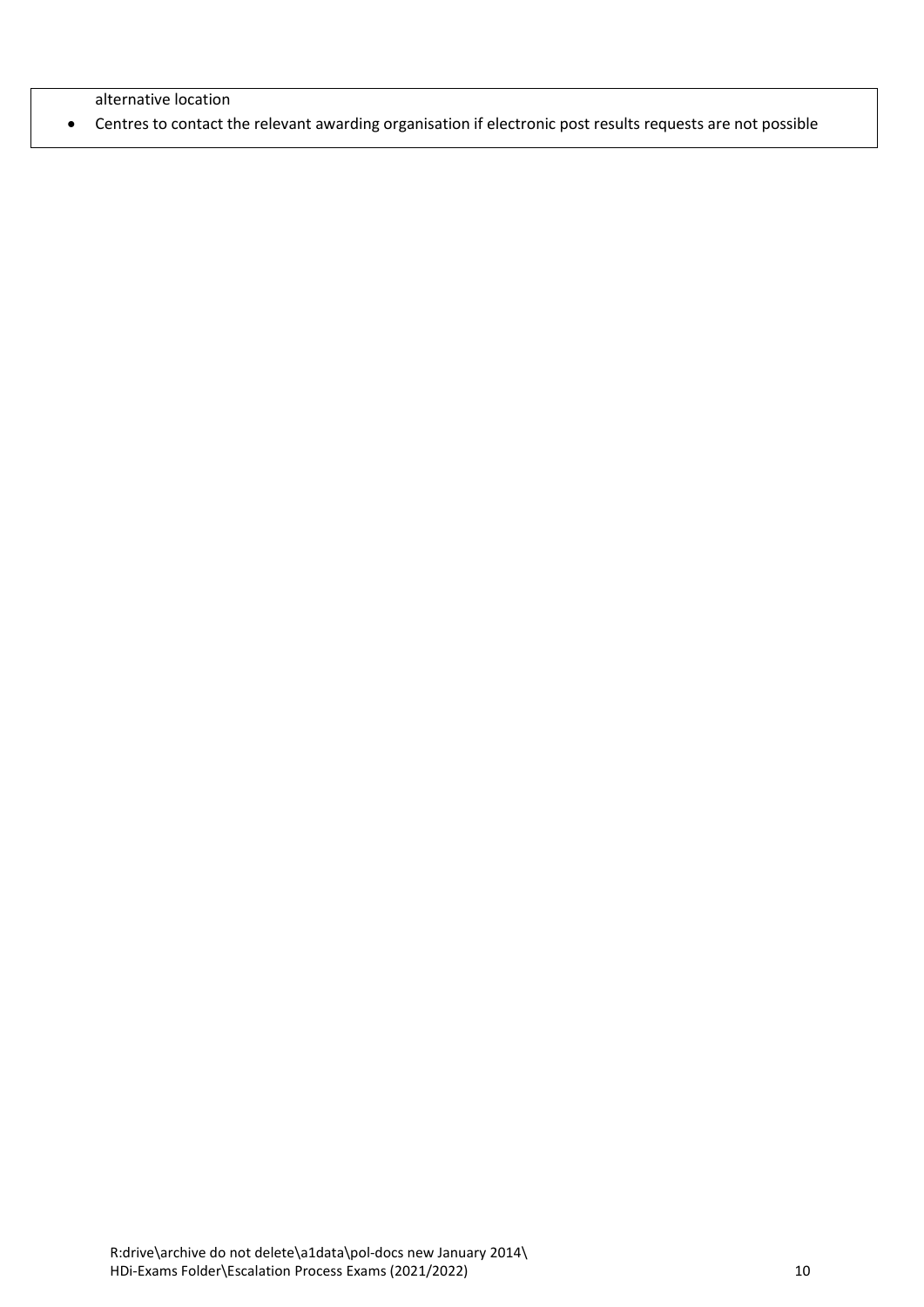alternative location

Centres to contact the relevant awarding organisation if electronic post results requests are not possible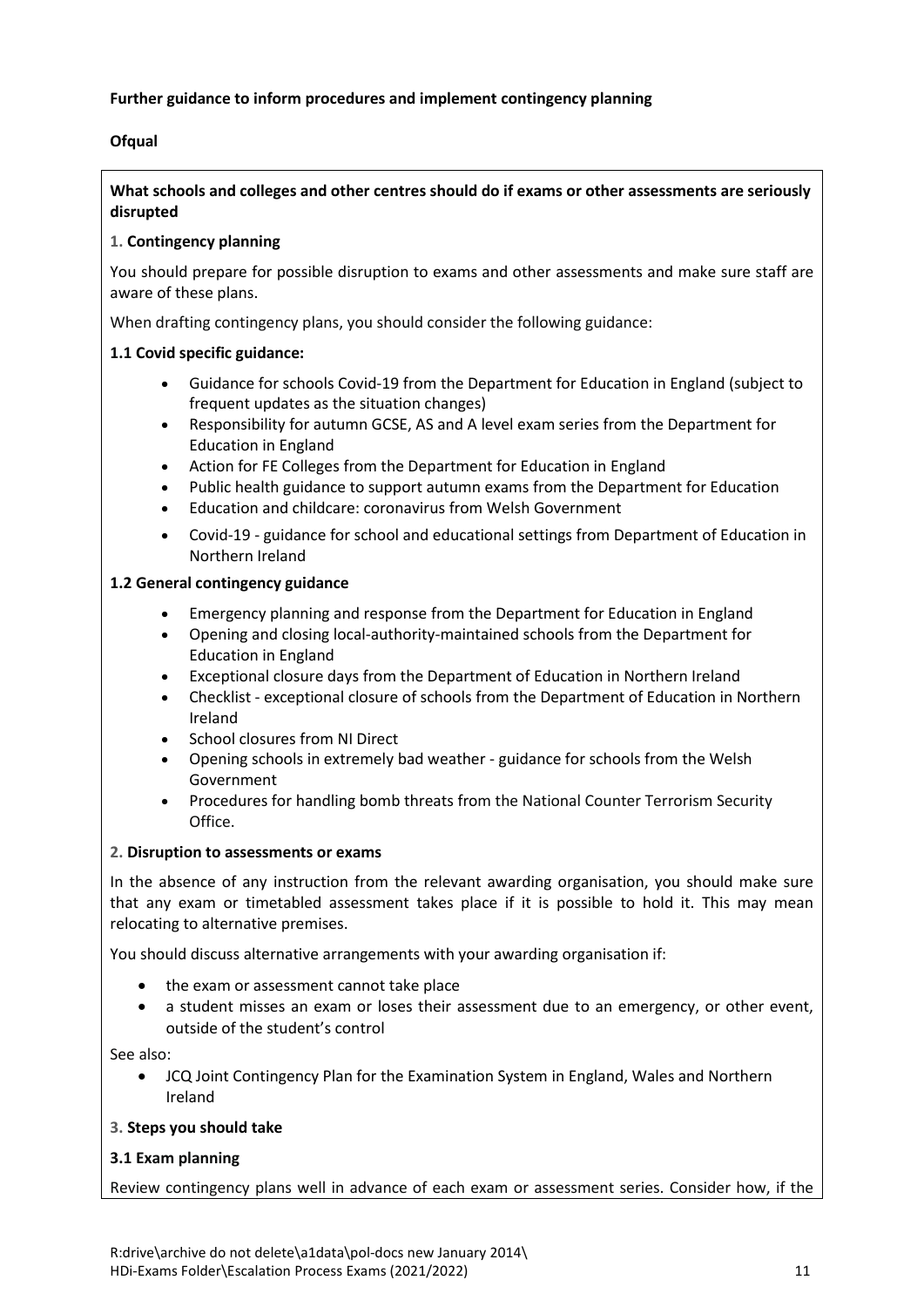#### <span id="page-10-0"></span>**Further guidance to inform procedures and implement contingency planning**

## <span id="page-10-1"></span>**Ofqual**

#### **What schools and colleges and other centres should do if exams or other assessments are seriously disrupted**

#### **1. Contingency planning**

You should prepare for possible disruption to exams and other assessments and make sure staff are aware of these plans.

When drafting contingency plans, you should consider the following guidance:

#### **1.1 Covid specific guidance:**

- [Guidance](https://www.gov.uk/government/collections/guidance-for-schools-coronavirus-covid-19#safe-working-and-protective-measures) for schools Covid-19 from the Department for Education in England (subject to frequent updates as the situation changes)
- [Responsibility](https://www.gov.uk/government/publications/responsibility-for-autumn-gcse-as-and-a-level-exam-series) for autumn GCSE, AS and A level exam series from the Department for Education in England
- Action for FE [Colleges](https://www.gov.uk/government/publications/coronavirus-covid-19-maintaining-further-education-provision) from the Department for Education in England
- Public health [guidance](https://www.gov.uk/government/publications/responsibility-for-autumn-gcse-as-and-a-level-exam-series/public-health-arrangements-for-autumn-exams) to support autumn exams from the Department for Education
- Education and childcare: [coronavirus](https://gov.wales/education-coronavirus) from Welsh Government
- Covid-19 guidance for school and [educational](https://www.education-ni.gov.uk/publications/coronavirus-covid-19-guidance-school-and-educational-settings-northern-ireland) settings from Department of Education in Northern Ireland

#### **1.2 General contingency guidance**

- [Emergency](https://www.gov.uk/guidance/emergencies-and-severe-weather-schools-and-early-years-settings) planning and response from the Department for Education in England
- Opening and closing [local-authority-maintained](https://www.gov.uk/government/publications/school-organisation-maintained-schools) schools from the Department for Education in England
- [Exceptional](https://www.education-ni.gov.uk/articles/exceptional-closure-days) closure days from the Department of Education in Northern Ireland
- Checklist [exceptional](https://www.education-ni.gov.uk/publications/checklist-exceptional-closure-schools) closure of schools from the Department of Education in Northern Ireland
- School [closures](https://gov.wales/opening-schools-extremely-bad-weather-guidance-schools) from NI Direct
- Opening schools in [extremely](https://gov.wales/opening-schools-extremely-bad-weather-guidance-schools) bad weather guidance for schools from the Welsh Government
- [Procedures](https://www.gov.uk/government/publications/bomb-threats-guidance) for handling bomb threats from the National Counter Terrorism Security Office.

#### **2. Disruption to assessments or exams**

In the absence of any instruction from the relevant awarding organisation, you should make sure that any exam or timetabled assessment takes place if it is possible to hold it. This may mean relocating to alternative premises.

You should discuss alternative arrangements with your awarding organisation if:

- the exam or assessment cannot take place
- a student misses an exam or loses their assessment due to an emergency, or other event, outside of the student's control

See also:

 JCQ Joint Contingency Plan for the [Examination](https://www.jcq.org.uk/exams-office/other-documents/jcq-joint-contingency-plan/) System in England, Wales and Northern [Ireland](https://www.jcq.org.uk/exams-office/other-documents/jcq-joint-contingency-plan/)

#### **3. Steps you should take**

#### **3.1 Exam planning**

Review contingency plans well in advance of each exam or assessment series. Consider how, if the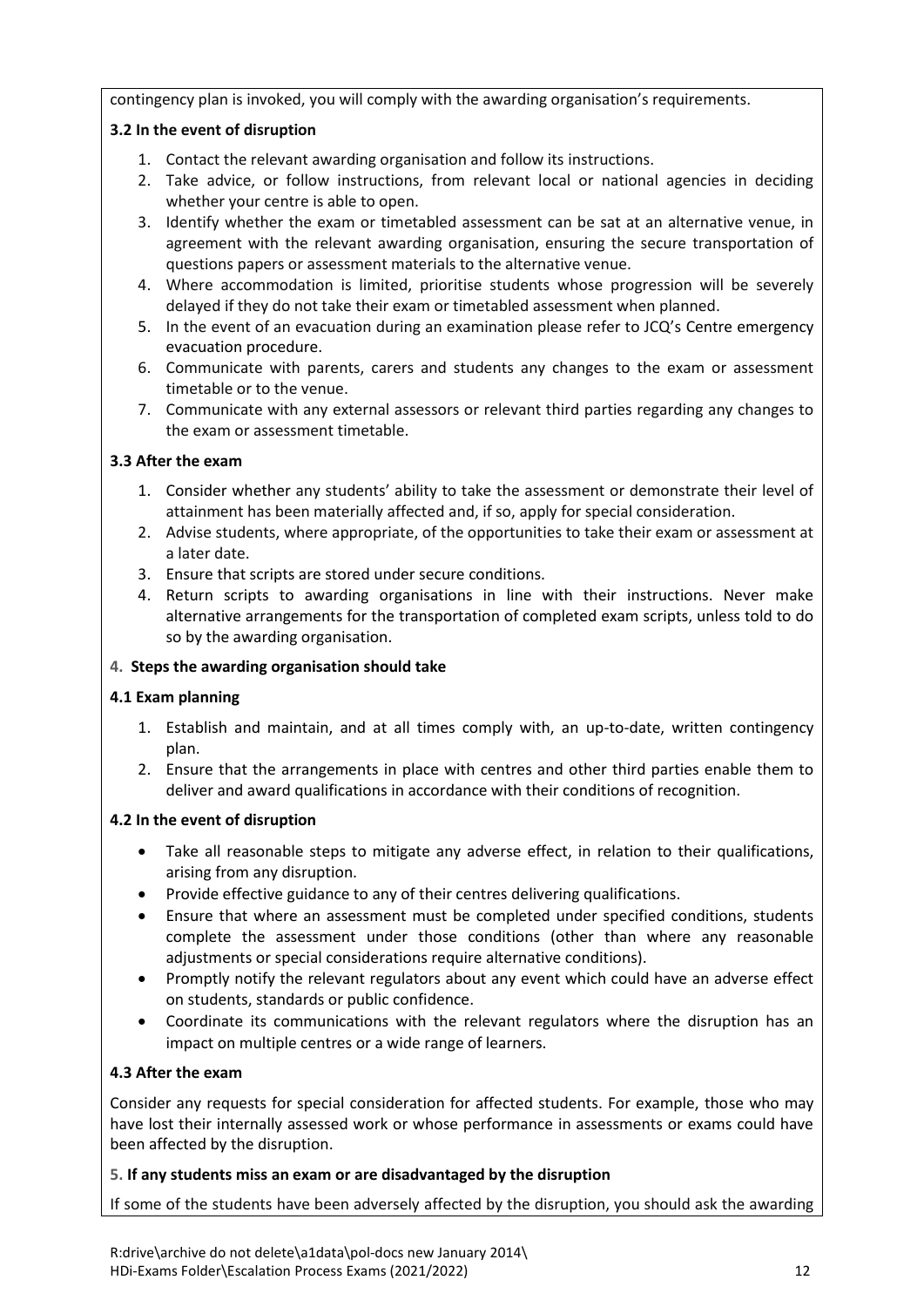contingency plan is invoked, you will comply with the awarding organisation's requirements.

## **3.2 In the event of disruption**

- 1. Contact the relevant awarding organisation and follow its instructions.
- 2. Take advice, or follow instructions, from relevant local or national agencies in deciding whether your centre is able to open.
- 3. Identify whether the exam or timetabled assessment can be sat at an alternative venue, in agreement with the relevant awarding organisation, ensuring the secure transportation of questions papers or assessment materials to the alternative venue.
- 4. Where accommodation is limited, prioritise students whose progression will be severely delayed if they do not take their exam or timetabled assessment when planned.
- 5. In the event of an evacuation during an examination please refer to JCQ's Centre [emergency](https://www.jcq.org.uk/exams-office/ice---instructions-for-conducting-examinations/centre-emergency-evacuation-procedure) [evacuation](https://www.jcq.org.uk/exams-office/ice---instructions-for-conducting-examinations/centre-emergency-evacuation-procedure) procedure.
- 6. Communicate with parents, carers and students any changes to the exam or assessment timetable or to the venue.
- 7. Communicate with any external assessors or relevant third parties regarding any changes to the exam or assessment timetable.

#### **3.3 After the exam**

- 1. Consider whether any students' ability to take the assessment or demonstrate their level of attainment has been materially affected and, if so, apply for special consideration.
- 2. Advise students, where appropriate, of the opportunities to take their exam or assessment at a later date.
- 3. Ensure that scripts are stored under secure conditions.
- 4. Return scripts to awarding organisations in line with their instructions. Never make alternative arrangements for the transportation of completed exam scripts, unless told to do so by the awarding organisation.

## **4. Steps the awarding organisation should take**

#### **4.1 Exam planning**

- 1. Establish and maintain, and at all times comply with, an up-to-date, written contingency plan.
- 2. Ensure that the arrangements in place with centres and other third parties enable them to deliver and award qualifications in accordance with their conditions of recognition.

#### **4.2 In the event of disruption**

- Take all reasonable steps to mitigate any adverse effect, in relation to their qualifications, arising from any disruption.
- Provide effective guidance to any of their centres delivering qualifications.
- Ensure that where an assessment must be completed under specified conditions, students complete the assessment under those conditions (other than where any reasonable adjustments or special considerations require alternative conditions).
- Promptly notify the relevant regulators about any event which could have an adverse effect on students, standards or public confidence.
- Coordinate its communications with the relevant regulators where the disruption has an impact on multiple centres or a wide range of learners.

## **4.3 After the exam**

Consider any requests for special consideration for affected students. For example, those who may have lost their internally assessed work or whose performance in assessments or exams could have been affected by the disruption.

#### **5. If any students miss an exam or are disadvantaged by the disruption**

If some of the students have been adversely affected by the disruption, you should ask the awarding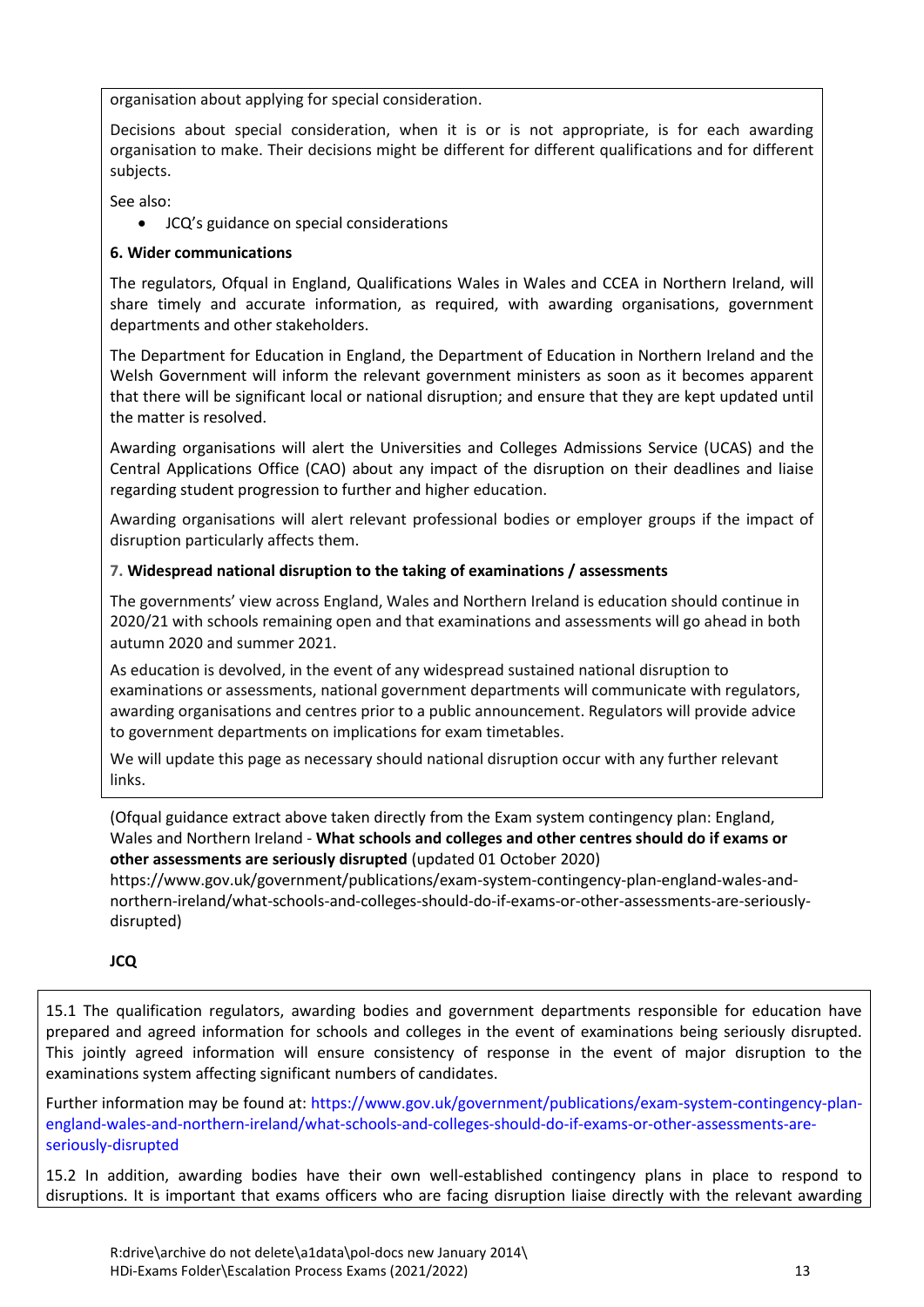organisation about applying for special consideration.

Decisions about special consideration, when it is or is not appropriate, is for each awarding organisation to make. Their decisions might be different for different qualifications and for different subjects.

See also:

JCQ's guidance on special [considerations](https://www.jcq.org.uk/exams-office/access-arrangements-and-special-consideration/regulations-and-guidance)

## **6. Wider communications**

The regulators, [Ofqual](https://www.gov.uk/ofqual) in England, [Qualifications](http://qualificationswales.org/) Wales in Wales and [CCEA](http://ccea.org.uk/) in Northern Ireland, will share timely and accurate information, as required, with awarding organisations, government departments and other stakeholders.

The [Department](https://www.gov.uk/government/organisations/department-for-education) for Education in England, the [Department](https://www.education-ni.gov.uk/) of Education in Northern Ireland and the Welsh [Government](http://gov.wales/topics/educationandskills/?lang=en) will inform the relevant government ministers as soon as it becomes apparent that there will be significant local or national disruption; and ensure that they are kept updated until the matter is resolved.

Awarding organisations will alert the [Universities](https://www.ucas.com/) and Colleges Admissions Service (UCAS) and the Central [Applications](http://www.cao.ie/) Office (CAO) about any impact of the disruption on their deadlines and liaise regarding student progression to further and higher education.

Awarding organisations will alert relevant professional bodies or employer groups if the impact of disruption particularly affects them.

## **7. Widespread national disruption to the taking of examinations / assessments**

The governments' view across England, Wales and Northern Ireland is education should continue in 2020/21 with schools remaining open and that examinations and assessments will go ahead in both autumn 2020 and summer 2021.

As education is devolved, in the event of any widespread sustained national disruption to examinations or assessments, national government departments will communicate with regulators, awarding organisations and centres prior to a public announcement. Regulators will provide advice to government departments on implications for exam timetables.

We will update this page as necessary should national disruption occur with any further relevant links.

(Ofqual guidance extract above taken directly from the Exam system contingency plan: England, Wales and Northern Ireland - **What schools and colleges and other centres should do if exams or other assessments are seriously disrupted** (updated 01 October 2020)

[https://www.gov.uk/government/publications/exam-system-contingency-plan-england-wales-and](https://www.gov.uk/government/publications/exam-system-contingency-plan-england-wales-and-northern-ireland/what-schools-and-colleges-should-do-if-exams-or-other-assessments-are-seriously-disrupted)[northern-ireland/what-schools-and-colleges-should-do-if-exams-or-other-assessments-are-seriously](https://www.gov.uk/government/publications/exam-system-contingency-plan-england-wales-and-northern-ireland/what-schools-and-colleges-should-do-if-exams-or-other-assessments-are-seriously-disrupted)[disrupted\)](https://www.gov.uk/government/publications/exam-system-contingency-plan-england-wales-and-northern-ireland/what-schools-and-colleges-should-do-if-exams-or-other-assessments-are-seriously-disrupted)

#### <span id="page-12-0"></span>**JCQ**

15.1 The qualification regulators, awarding bodies and government departments responsible for education have prepared and agreed information for schools and colleges in the event of examinations being seriously disrupted. This jointly agreed information will ensure consistency of response in the event of major disruption to the examinations system affecting significant numbers of candidates.

Further information may be found at: [https://www.gov.uk/government/publications/exam-system-contingency-plan](https://www.gov.uk/government/publications/exam-system-contingency-plan-england-wales-and-northern-ireland/what-schools-and-colleges-should-do-if-exams-or-other-assessments-are-seriously-disrupted)[england-wales-and-northern-ireland/what-schools-and-colleges-should-do-if-exams-or-other-assessments-are](https://www.gov.uk/government/publications/exam-system-contingency-plan-england-wales-and-northern-ireland/what-schools-and-colleges-should-do-if-exams-or-other-assessments-are-seriously-disrupted)[seriously-disrupted](https://www.gov.uk/government/publications/exam-system-contingency-plan-england-wales-and-northern-ireland/what-schools-and-colleges-should-do-if-exams-or-other-assessments-are-seriously-disrupted)

15.2 In addition, awarding bodies have their own well-established contingency plans in place to respond to disruptions. It is important that exams officers who are facing disruption liaise directly with the relevant awarding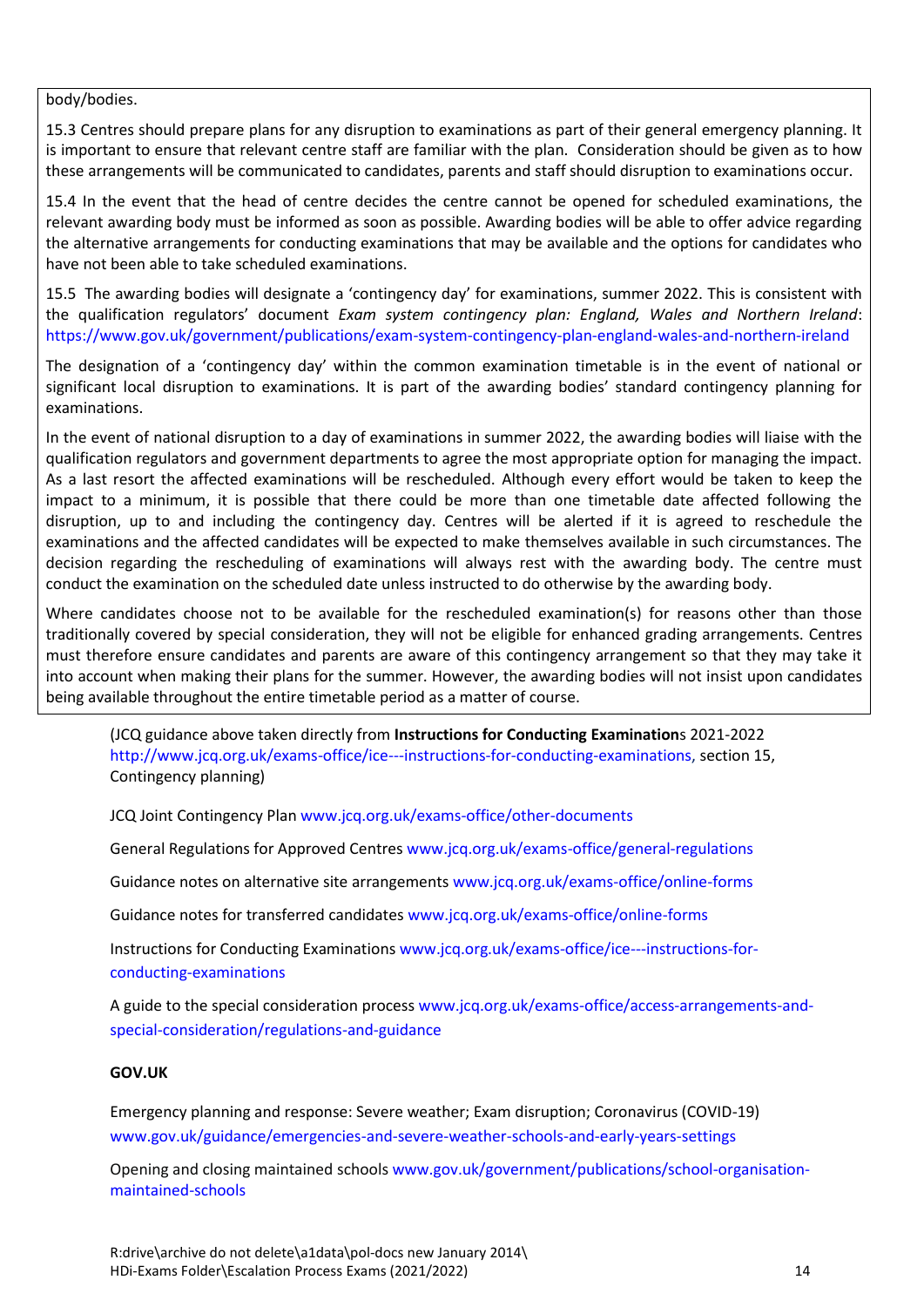#### body/bodies.

15.3 Centres should prepare plans for any disruption to examinations as part of their general emergency planning. It is important to ensure that relevant centre staff are familiar with the plan. Consideration should be given as to how these arrangements will be communicated to candidates, parents and staff should disruption to examinations occur.

15.4 In the event that the head of centre decides the centre cannot be opened for scheduled examinations, the relevant awarding body must be informed as soon as possible. Awarding bodies will be able to offer advice regarding the alternative arrangements for conducting examinations that may be available and the options for candidates who have not been able to take scheduled examinations.

15.5 The awarding bodies will designate a 'contingency day' for examinations, summer 2022. This is consistent with the qualification regulators' document *Exam system contingency plan: England, Wales and Northern Ireland*: <https://www.gov.uk/government/publications/exam-system-contingency-plan-england-wales-and-northern-ireland>

The designation of a 'contingency day' within the common examination timetable is in the event of national or significant local disruption to examinations. It is part of the awarding bodies' standard contingency planning for examinations.

In the event of national disruption to a day of examinations in summer 2022, the awarding bodies will liaise with the qualification regulators and government departments to agree the most appropriate option for managing the impact. As a last resort the affected examinations will be rescheduled. Although every effort would be taken to keep the impact to a minimum, it is possible that there could be more than one timetable date affected following the disruption, up to and including the contingency day. Centres will be alerted if it is agreed to reschedule the examinations and the affected candidates will be expected to make themselves available in such circumstances. The decision regarding the rescheduling of examinations will always rest with the awarding body. The centre must conduct the examination on the scheduled date unless instructed to do otherwise by the awarding body.

Where candidates choose not to be available for the rescheduled examination(s) for reasons other than those traditionally covered by special consideration, they will not be eligible for enhanced grading arrangements. Centres must therefore ensure candidates and parents are aware of this contingency arrangement so that they may take it into account when making their plans for the summer. However, the awarding bodies will not insist upon candidates being available throughout the entire timetable period as a matter of course.

(JCQ guidance above taken directly from **Instructions for Conducting Examination**s 2021-2022 [http://www.jcq.org.uk/exams-office/ice---instructions-for-conducting-examinations,](http://www.jcq.org.uk/exams-office/ice---instructions-for-conducting-examinations) section 15, Contingency planning)

JCQ Joint Contingency Pla[n www.jcq.org.uk/exams-office/other-documents](http://www.jcq.org.uk/exams-office/other-documents)

General Regulations for Approved Centres [www.jcq.org.uk/exams-office/general-regulations](http://www.jcq.org.uk/exams-office/general-regulations)

Guidance notes on alternative site arrangements [www.jcq.org.uk/exams-office/online-forms](http://www.jcq.org.uk/exams-office/online-forms)

Guidance notes for transferred candidate[s www.jcq.org.uk/exams-office/online-forms](http://www.jcq.org.uk/exams-office/online-forms)

Instructions for Conducting Examination[s www.jcq.org.uk/exams-office/ice---instructions-for](http://www.jcq.org.uk/exams-office/ice---instructions-for-conducting-examinations)[conducting-examinations](http://www.jcq.org.uk/exams-office/ice---instructions-for-conducting-examinations) 

A guide to the special consideration proces[s www.jcq.org.uk/exams-office/access-arrangements-and](http://www.jcq.org.uk/exams-office/access-arrangements-and-special-consideration/regulations-and-guidance)[special-consideration/regulations-and-guidance](http://www.jcq.org.uk/exams-office/access-arrangements-and-special-consideration/regulations-and-guidance)

#### <span id="page-13-0"></span>**GOV.UK**

Emergency planning and response: Severe weather; Exam disruption; Coronavirus (COVID-19) [www.gov.uk/guidance/emergencies-and-severe-weather-schools-and-early-years-settings](http://www.gov.uk/guidance/emergencies-and-severe-weather-schools-and-early-years-settings)

Opening and closing maintained schools [www.gov.uk/government/publications/school-organisation](http://www.gov.uk/government/publications/school-organisation-maintained-schools)[maintained-schools](http://www.gov.uk/government/publications/school-organisation-maintained-schools)